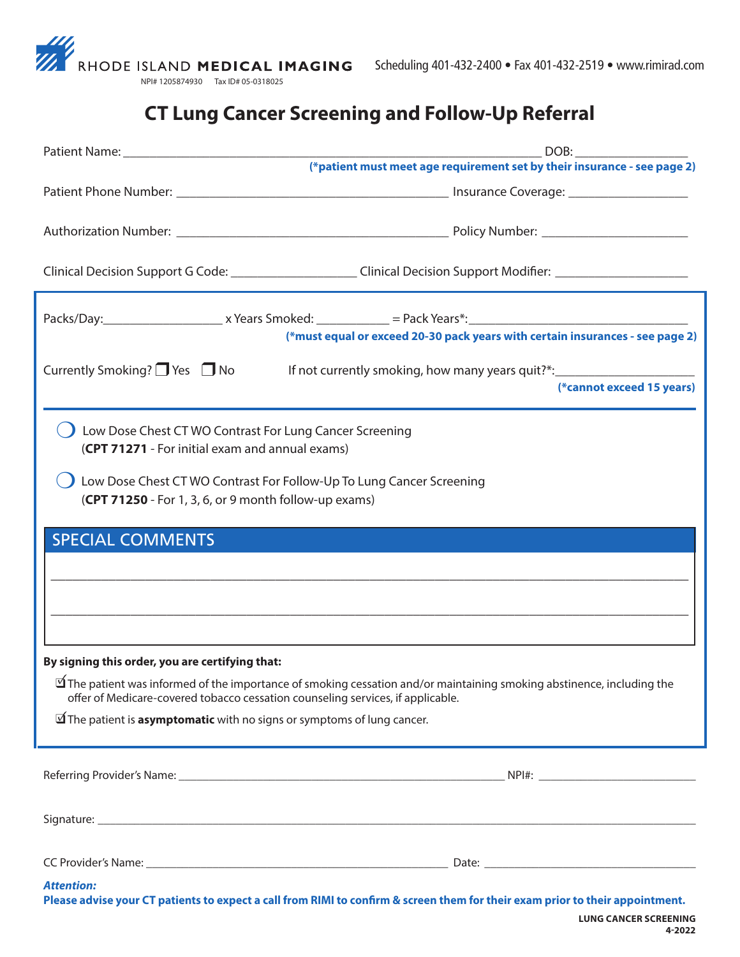

## **CT Lung Cancer Screening and Follow-Up Referral**

|                                                                                                                                                                                                                                                                     | (*patient must meet age requirement set by their insurance - see page 2)         |
|---------------------------------------------------------------------------------------------------------------------------------------------------------------------------------------------------------------------------------------------------------------------|----------------------------------------------------------------------------------|
|                                                                                                                                                                                                                                                                     |                                                                                  |
|                                                                                                                                                                                                                                                                     |                                                                                  |
| Clinical Decision Support G Code: _______________________Clinical Decision Support Modifier: _________________                                                                                                                                                      |                                                                                  |
|                                                                                                                                                                                                                                                                     |                                                                                  |
|                                                                                                                                                                                                                                                                     | (*must equal or exceed 20-30 pack years with certain insurances - see page 2)    |
| Currently Smoking? $\Box$ Yes $\Box$ No                                                                                                                                                                                                                             | If not currently smoking, how many years quit?*:________________________________ |
|                                                                                                                                                                                                                                                                     | (*cannot exceed 15 years)                                                        |
| Low Dose Chest CT WO Contrast For Lung Cancer Screening<br>(CPT 71271 - For initial exam and annual exams)<br>Low Dose Chest CT WO Contrast For Follow-Up To Lung Cancer Screening<br>(CPT 71250 - For 1, 3, 6, or 9 month follow-up exams)                         |                                                                                  |
|                                                                                                                                                                                                                                                                     |                                                                                  |
| <b>SPECIAL COMMENTS</b>                                                                                                                                                                                                                                             |                                                                                  |
|                                                                                                                                                                                                                                                                     |                                                                                  |
|                                                                                                                                                                                                                                                                     |                                                                                  |
|                                                                                                                                                                                                                                                                     |                                                                                  |
|                                                                                                                                                                                                                                                                     |                                                                                  |
| By signing this order, you are certifying that:<br>$\Delta$ The patient was informed of the importance of smoking cessation and/or maintaining smoking abstinence, including the<br>offer of Medicare-covered tobacco cessation counseling services, if applicable. |                                                                                  |
| $\mathbb I$ The patient is <b>asymptomatic</b> with no signs or symptoms of lung cancer.                                                                                                                                                                            |                                                                                  |
|                                                                                                                                                                                                                                                                     |                                                                                  |
|                                                                                                                                                                                                                                                                     |                                                                                  |
|                                                                                                                                                                                                                                                                     |                                                                                  |
|                                                                                                                                                                                                                                                                     |                                                                                  |
| <b>Attention:</b><br>Please advise your CT patients to expect a call from RIMI to confirm & screen them for their exam prior to their appointment.                                                                                                                  |                                                                                  |